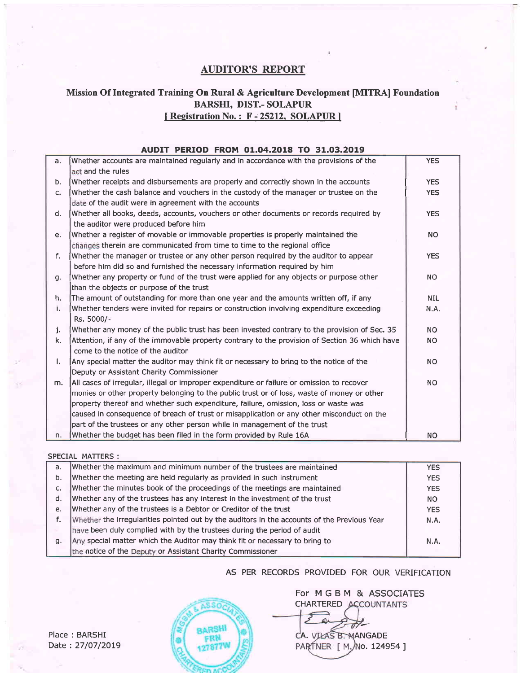# AUDITOR'S REPORT

## Mission Of Integrated Training On Rural & Agriculture Development [MITRA] Foundation BARSHI, DIST.- SOLAPUR I Registration No.: F-25212, SOLAPUR ]

### AUDIT PERIOD FROM 01.04.2018 TO 31.03.2019

| a. | Whether accounts are maintained regularly and in accordance with the provisions of the         | <b>YES</b>  |
|----|------------------------------------------------------------------------------------------------|-------------|
|    | act and the rules                                                                              |             |
| b. | Whether receipts and disbursements are properly and correctly shown in the accounts            | <b>YES</b>  |
| c. | Whether the cash balance and vouchers in the custody of the manager or trustee on the          | <b>YES</b>  |
|    | date of the audit were in agreement with the accounts                                          |             |
| d. | Whether all books, deeds, accounts, vouchers or other documents or records required by         | <b>YES</b>  |
|    | the auditor were produced before him                                                           |             |
| e. | Whether a register of movable or immovable properties is properly maintained the               | <b>NO</b>   |
|    | changes therein are communicated from time to time to the regional office                      |             |
| f. | Whether the manager or trustee or any other person required by the auditor to appear           | <b>YES</b>  |
|    | before him did so and furnished the necessary information required by him                      |             |
| g. | Whether any property or fund of the trust were applied for any objects or purpose other        | <b>NO</b>   |
|    | than the objects or purpose of the trust                                                       |             |
| h. | The amount of outstanding for more than one year and the amounts written off, if any           | <b>NIL</b>  |
| i. | Whether tenders were invited for repairs or construction involving expenditure exceeding       | <b>N.A.</b> |
|    | Rs. 5000/-                                                                                     |             |
| j. | Whether any money of the public trust has been invested contrary to the provision of Sec. 35   | <b>NO</b>   |
| k. | Attention, if any of the immovable property contrary to the provision of Section 36 which have | <b>NO</b>   |
|    | come to the notice of the auditor                                                              |             |
| Ι. | Any special matter the auditor may think fit or necessary to bring to the notice of the        | <b>NO</b>   |
|    | Deputy or Assistant Charity Commissioner                                                       |             |
| m. | All cases of irregular, illegal or improper expenditure or failure or omission to recover      | <b>NO</b>   |
|    | monies or other property belonging to the public trust or of loss, waste of money or other     |             |
|    | property thereof and whether such expenditure, failure, omission, loss or waste was            |             |
|    | caused in consequence of breach of trust or misapplication or any other misconduct on the      |             |
|    | part of the trustees or any other person while in management of the trust                      |             |
| n. | Whether the budget has been filed in the form provided by Rule 16A                             | <b>NO</b>   |

#### SPECIAL MATTERS:

| a. | Whether the maximum and minimum number of the trustees are maintained                       | <b>YES</b> |
|----|---------------------------------------------------------------------------------------------|------------|
| b. | Whether the meeting are held regularly as provided in such instrument                       | <b>YES</b> |
| c. | Whether the minutes book of the proceedings of the meetings are maintained                  | <b>YES</b> |
| d. | Whether any of the trustees has any interest in the investment of the trust                 | <b>NO</b>  |
| e. | Whether any of the trustees is a Debtor or Creditor of the trust                            | <b>YES</b> |
|    | Whether the irregularities pointed out by the auditors in the accounts of the Previous Year | N.A.       |
|    | have been duly complied with by the trustees during the period of audit                     |            |
| q. | Any special matter which the Auditor may think fit or necessary to bring to                 | N.A.       |
|    | the notice of the Deputy or Assistant Charity Commissioner                                  |            |

AS PER RECORDS PROVIDED FOR OUR VERIFICATION

ASSOC **BARSHI** FRN 127877V

For MGBM & ASSOCIATESCHARTERED ACCOUNTANTS

A. VIŁAS B. MANGADE  $\overrightarrow{c}$ PARTNER [ M. No. 124954 ]

Place : BARSHI Date : 27/07/2019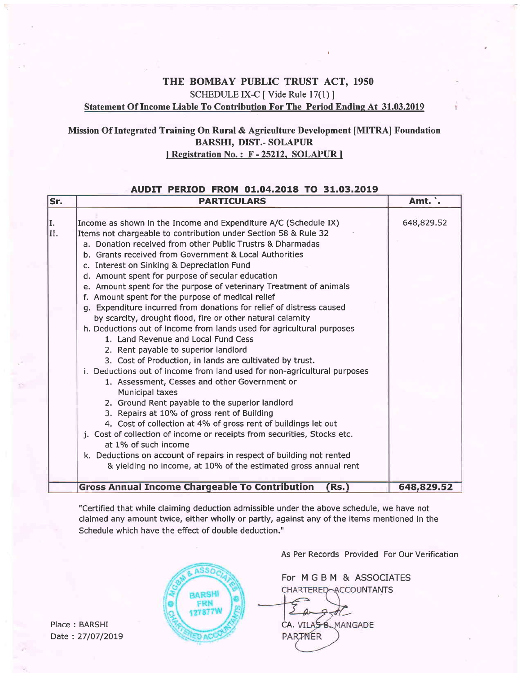# THE BOMBAY PUBLIC TRUST ACT, 1950 SCHEDULE IX-C [ Vide Rule 17(1) ] Statement Of Income Liable To Contribution For The Period Endine At 31.03.2019

## Mission Of Integrated Training On Rural & Agriculture Development [MITRA] Foundation BARSHI, DIST.- SOLAPUR I Registration No.: F-25212, SOLAPUR ]

### AUDrT PERTOD FROM 01.04.2018 TO 31.03.2019

| Sr.       | <b>PARTICULARS</b>                                                                                                                                                                                                                                                                                                                                                                                                                                                                                                                                                                                                                                                                                                                                                                                                                                                                                                                                                                                                                                                                                                                                                                                                                                                                                                                                                                                                           | Amt. .     |
|-----------|------------------------------------------------------------------------------------------------------------------------------------------------------------------------------------------------------------------------------------------------------------------------------------------------------------------------------------------------------------------------------------------------------------------------------------------------------------------------------------------------------------------------------------------------------------------------------------------------------------------------------------------------------------------------------------------------------------------------------------------------------------------------------------------------------------------------------------------------------------------------------------------------------------------------------------------------------------------------------------------------------------------------------------------------------------------------------------------------------------------------------------------------------------------------------------------------------------------------------------------------------------------------------------------------------------------------------------------------------------------------------------------------------------------------------|------------|
| I.<br>II. | Income as shown in the Income and Expenditure A/C (Schedule IX)<br>Items not chargeable to contribution under Section 58 & Rule 32<br>a. Donation received from other Public Trustrs & Dharmadas<br>b. Grants received from Government & Local Authorities<br>c. Interest on Sinking & Depreciation Fund<br>d. Amount spent for purpose of secular education<br>e. Amount spent for the purpose of veterinary Treatment of animals<br>f. Amount spent for the purpose of medical relief<br>g. Expenditure incurred from donations for relief of distress caused<br>by scarcity, drought flood, fire or other natural calamity<br>h. Deductions out of income from lands used for agricultural purposes<br>1. Land Revenue and Local Fund Cess<br>2. Rent payable to superior landlord<br>3. Cost of Production, in lands are cultivated by trust.<br>i. Deductions out of income from land used for non-agricultural purposes<br>1. Assessment, Cesses and other Government or<br><b>Municipal taxes</b><br>2. Ground Rent payable to the superior landlord<br>3. Repairs at 10% of gross rent of Building<br>4. Cost of collection at 4% of gross rent of buildings let out<br>j. Cost of collection of income or receipts from securities, Stocks etc.<br>at 1% of such income<br>k. Deductions on account of repairs in respect of building not rented<br>& yielding no income, at 10% of the estimated gross annual rent | 648,829.52 |
|           | <b>Gross Annual Income Chargeable To Contribution</b><br>(Rs.)                                                                                                                                                                                                                                                                                                                                                                                                                                                                                                                                                                                                                                                                                                                                                                                                                                                                                                                                                                                                                                                                                                                                                                                                                                                                                                                                                               | 648,829.52 |

"Certified that while claiming deduction admissible under the above schedule, we have not claimed any amount twice, either wholly or partly, against any of the items mentioned in the Schedule which have the efFect of double deduction."

Place: BARSHI Date : 27/07/20L9



As Per Records Provided For Our Verification

For MGBM & ASSOCIATES CHARTERED-ACCOUNTANTS

CA. VILAS B. MANGADE **PARTNER**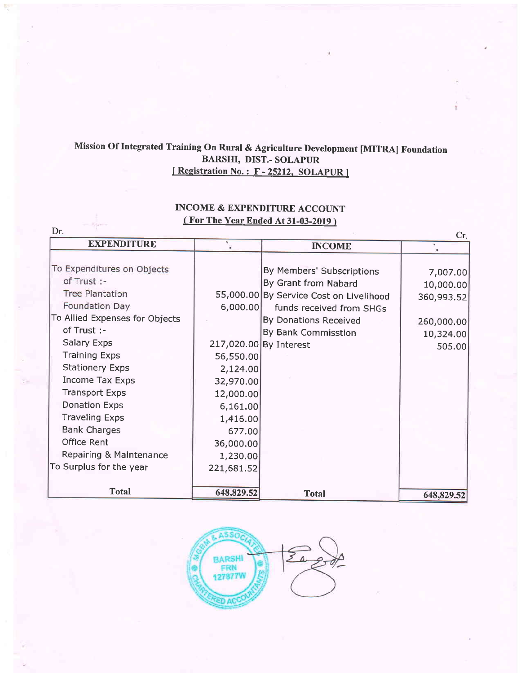# Mission Of Integrated Training On Rural & Agriculture Development [MITRA] Foundation BARSHI, DIST.- SOLAPUR<br>[Registration No.: F - 25212, SOLAPUR]

# INCOME & EXPENDITURE ACCOUNT ( For The Year Ended At 31-03-2019 )

| <b>EXPENDITURE</b>             |            |                                         | Cr.<br>۰   |
|--------------------------------|------------|-----------------------------------------|------------|
|                                |            | <b>INCOME</b>                           |            |
| To Expenditures on Objects     |            | By Members' Subscriptions               | 7,007.00   |
| of Trust :-                    |            | By Grant from Nabard                    | 10,000.00  |
| <b>Tree Plantation</b>         |            | 55,000.00 By Service Cost on Livelihood | 360,993.52 |
| Foundation Day                 | 6,000.00   | funds received from SHGs                |            |
| To Allied Expenses for Objects |            | By Donations Received                   | 260,000.00 |
| of Trust :-                    |            | By Bank Commisstion                     | 10,324.00  |
| <b>Salary Exps</b>             |            | 217,020.00 By Interest                  | 505.00     |
| <b>Training Exps</b>           | 56,550.00  |                                         |            |
| <b>Stationery Exps</b>         | 2,124.00   |                                         |            |
| <b>Income Tax Exps</b>         | 32,970.00  |                                         |            |
| <b>Transport Exps</b>          | 12,000.00  |                                         |            |
| <b>Donation Exps</b>           | 6,161.00   |                                         |            |
| <b>Traveling Exps</b>          | 1,416.00   |                                         |            |
| <b>Bank Charges</b>            | 677.00     |                                         |            |
| <b>Office Rent</b>             | 36,000.00  |                                         |            |
| Repairing & Maintenance        | 1,230.00   |                                         |            |
| To Surplus for the year        | 221,681.52 |                                         |            |
|                                |            |                                         |            |
| <b>Total</b>                   | 648,829.52 | <b>Total</b>                            | 648,829.52 |

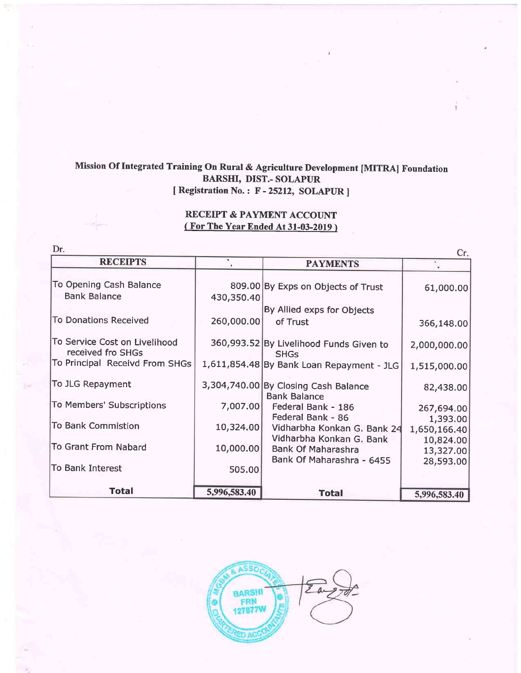# Mission Of Integrated Training On Rural & Agriculture Development [MITRA] Foundation BARSHI, DIST.- SOLAPUR [ Registration No. : F - 25212, SOLAPUR ]

# RECEIPT & PAYMENT ACCOUNT ( For The Year Ended At 31-03-2019 )

| Dr.<br>Cr.                     |              |                                           |              |
|--------------------------------|--------------|-------------------------------------------|--------------|
| <b>RECEIPTS</b>                |              | <b>PAYMENTS</b>                           |              |
|                                |              |                                           |              |
| To Opening Cash Balance        |              | 809.00 By Exps on Objects of Trust        | 61,000.00    |
| <b>Bank Balance</b>            | 430,350.40   |                                           |              |
|                                |              | By Allied exps for Objects                |              |
| <b>To Donations Received</b>   | 260,000.00   | of Trust                                  | 366,148.00   |
|                                |              |                                           |              |
| To Service Cost on Livelihood  |              | 360,993.52 By Livelihood Funds Given to   | 2,000,000.00 |
| received fro SHGs              |              | <b>SHGs</b>                               |              |
| To Principal Receivd From SHGs |              | 1,611,854.48 By Bank Loan Repayment - JLG | 1,515,000.00 |
|                                |              |                                           |              |
| To JLG Repayment               |              | 3,304,740.00 By Closing Cash Balance      | 82,438.00    |
|                                |              | <b>Bank Balance</b>                       |              |
| To Members' Subscriptions      | 7,007.00     | Federal Bank - 186                        | 267,694.00   |
| To Bank Commistion             |              | Federal Bank - 86                         | 1,393.00     |
|                                | 10,324.00    | Vidharbha Konkan G. Bank 24               | 1,650,166.40 |
| To Grant From Nabard           |              | Vidharbha Konkan G. Bank                  | 10,824.00    |
|                                | 10,000.00    | Bank Of Maharashra                        | 13,327.00    |
| To Bank Interest               | 505.00       | Bank Of Maharashra - 6455                 | 28,593.00    |
|                                |              |                                           |              |
| <b>Total</b>                   | 5,996,583.40 |                                           |              |
|                                |              | <b>Total</b>                              | 5,996,583.40 |